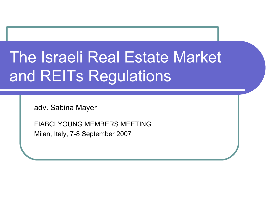# The Israeli Real Estate Market and REITs Regulations

adv. Sabina Mayer

FIABCI YOUNG MEMBERS MEETING Milan, Italy, 7-8 September 2007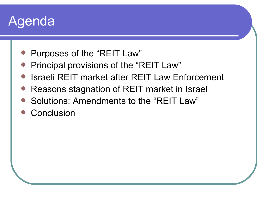### Agenda

- Purposes of the "REIT Law"
- Principal provisions of the "REIT Law"
- Israeli REIT market after REIT Law Enforcement
- Reasons stagnation of REIT market in Israel
- Solutions: Amendments to the "REIT Law"
- **Conclusion**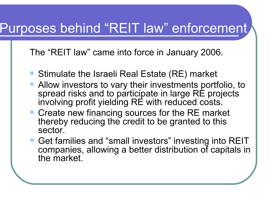### Purposes behind "REIT law" enforcement

The "REIT law" came into force in January 2006.

- Stimulate the Israeli Real Estate (RE) market
- Allow investors to vary their investments portfolio, to spread risks and to participate in large RE projects involving profit yielding RE with reduced costs.
- Create new financing sources for the RE market thereby reducing the credit to be granted to this sector.
- Get families and "small investors" investing into REIT companies, allowing a better distribution of capitals in the market.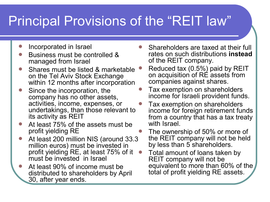# Principal Provisions of the "REIT law"

- Incorporated in Israel
- Business must be controlled & managed from Israel
- Shares must be listed & marketable on the Tel Aviv Stock Exchange within 12 months after incorporation
- Since the incorporation, the company has no other assets, activities, income, expenses, or undertakings, than those relevant to its activity as REIT
- At least 75% of the assets must be profit yielding RE
- At least 200 million NIS (around 33.3 million euros) must be invested in profit yielding RE, at least 75% of it must be invested in Israel
- At least 90% of income must be distributed to shareholders by April 30, after year ends.
- Shareholders are taxed at their full rates on such distributions **instead** of the REIT company.
- Reduced tax (0.5%) paid by REIT on acquisition of RE assets from companies against shares.
- Tax exemption on shareholders income for Israeli provident funds.
- Tax exemption on shareholders income for foreign retirement funds from a country that has a tax treaty with Israel.
- The ownership of 50% or more of the REIT company will not be held by less than 5 shareholders.
- Total amount of loans taken by REIT company will not be equivalent to more than 60% of the total of profit yielding RE assets.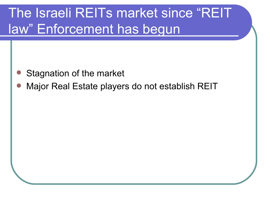# The Israeli REITs market since "REIT law" Enforcement has begun

- Stagnation of the market
- Major Real Estate players do not establish REIT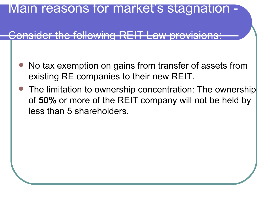#### Main reasons for market's stagnation

#### $H_{\alpha}$  following  $R_{\alpha}$

- No tax exemption on gains from transfer of assets from existing RE companies to their new REIT.
- The limitation to ownership concentration: The ownership of **50%** or more of the REIT company will not be held by less than 5 shareholders.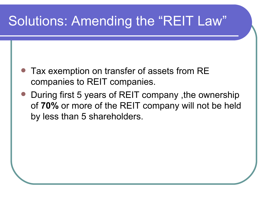# Solutions: Amending the "REIT Law"

- Tax exemption on transfer of assets from RE companies to REIT companies.
- During first 5 years of REIT company ,the ownership of **70%** or more of the REIT company will not be held by less than 5 shareholders.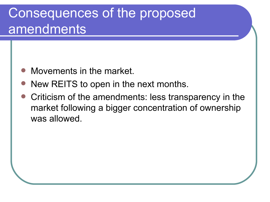## Consequences of the proposed amendments

- Movements in the market.
- New REITS to open in the next months.
- Criticism of the amendments: less transparency in the market following a bigger concentration of ownership was allowed.